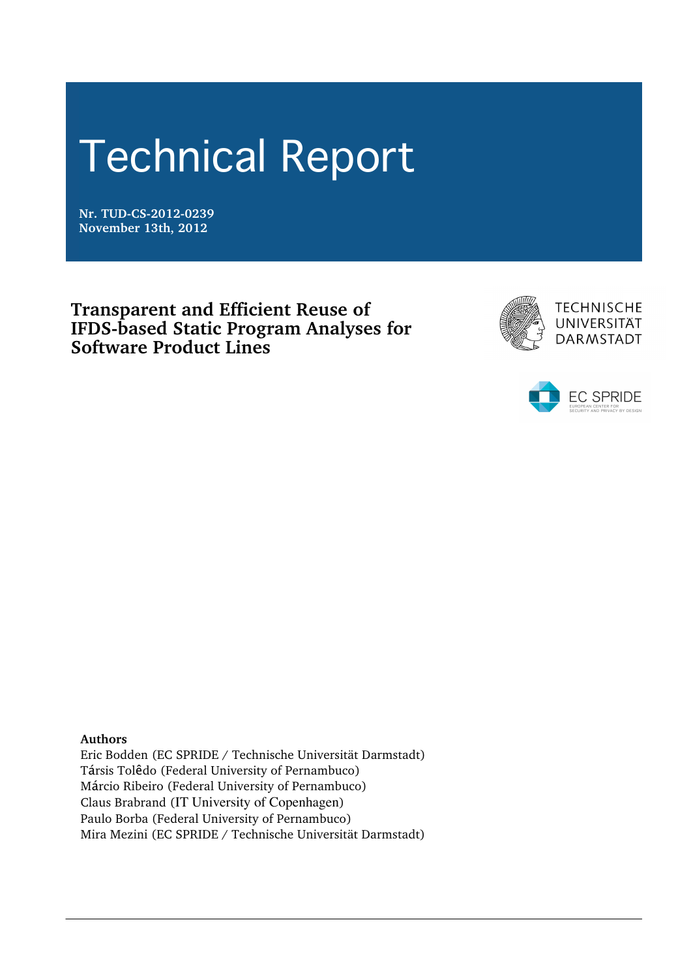# Technical Report

**Nr. TUD-CS-2012-0239 November 13th, 2012**

**Transparent and Efficient Reuse of IFDS-based Static Program Analyses for Software Product Lines**





**Authors**

Eric Bodden (EC SPRIDE / Technische Universität Darmstadt) Társis Tolêdo (Federal University of Pernambuco) Márcio Ribeiro (Federal University of Pernambuco) Claus Brabrand (IT University of Copenhagen) Paulo Borba (Federal University of Pernambuco) Mira Mezini (EC SPRIDE / Technische Universität Darmstadt)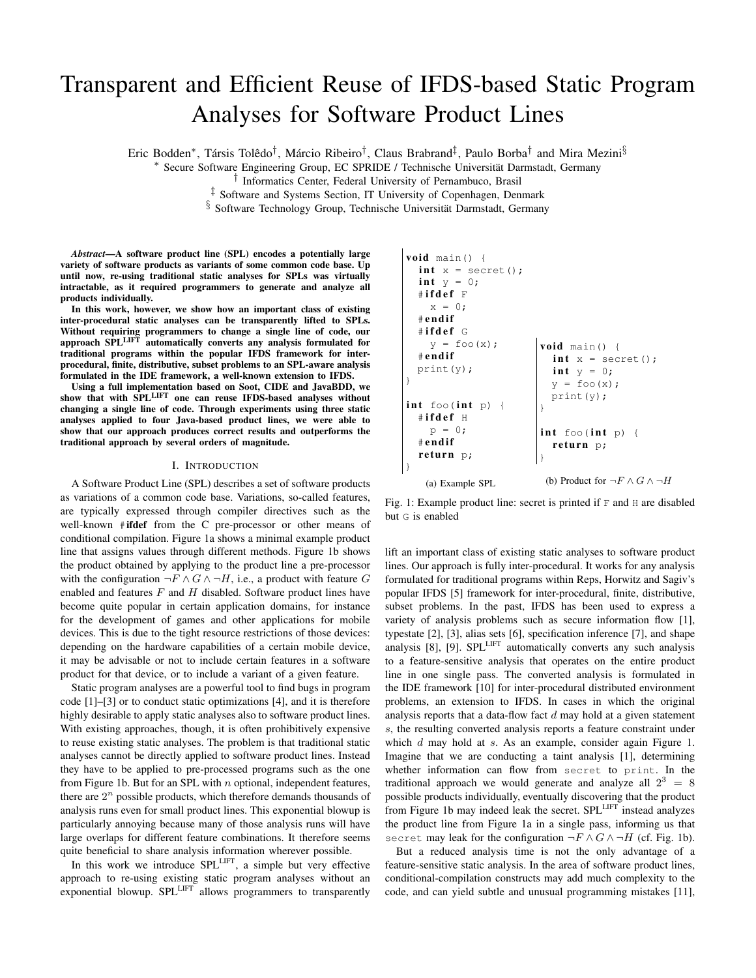# Transparent and Efficient Reuse of IFDS-based Static Program Analyses for Software Product Lines

Eric Bodden<sup>\*</sup>, Társis Tolêdo<sup>†</sup>, Márcio Ribeiro<sup>†</sup>, Claus Brabrand<sup>‡</sup>, Paulo Borba<sup>†</sup> and Mira Mezini<sup>§</sup>

⇤ Secure Software Engineering Group, EC SPRIDE / Technische Universitat Darmstadt, Germany ¨

*†* Informatics Center, Federal University of Pernambuco, Brasil

*‡* Software and Systems Section, IT University of Copenhagen, Denmark

§ Software Technology Group, Technische Universität Darmstadt, Germany

*Abstract*—A software product line (SPL) encodes a potentially large variety of software products as variants of some common code base. Up until now, re-using traditional static analyses for SPLs was virtually intractable, as it required programmers to generate and analyze all products individually.

In this work, however, we show how an important class of existing inter-procedural static analyses can be transparently lifted to SPLs. Without requiring programmers to change a single line of code, our approach SPLLIFT automatically converts any analysis formulated for traditional programs within the popular IFDS framework for interprocedural, finite, distributive, subset problems to an SPL-aware analysis formulated in the IDE framework, a well-known extension to IFDS.

Using a full implementation based on Soot, CIDE and JavaBDD, we show that with SPLLIFT one can reuse IFDS-based analyses without changing a single line of code. Through experiments using three static analyses applied to four Java-based product lines, we were able to show that our approach produces correct results and outperforms the traditional approach by several orders of magnitude.

#### I. INTRODUCTION

A Software Product Line (SPL) describes a set of software products as variations of a common code base. Variations, so-called features, are typically expressed through compiler directives such as the well-known #ifdef from the C pre-processor or other means of conditional compilation. Figure 1a shows a minimal example product line that assigns values through different methods. Figure 1b shows the product obtained by applying to the product line a pre-processor with the configuration  $\neg F \wedge G \wedge \neg H$ , i.e., a product with feature *G* enabled and features *F* and *H* disabled. Software product lines have become quite popular in certain application domains, for instance for the development of games and other applications for mobile devices. This is due to the tight resource restrictions of those devices: depending on the hardware capabilities of a certain mobile device, it may be advisable or not to include certain features in a software product for that device, or to include a variant of a given feature.

Static program analyses are a powerful tool to find bugs in program code [1]–[3] or to conduct static optimizations [4], and it is therefore highly desirable to apply static analyses also to software product lines. With existing approaches, though, it is often prohibitively expensive to reuse existing static analyses. The problem is that traditional static analyses cannot be directly applied to software product lines. Instead they have to be applied to pre-processed programs such as the one from Figure 1b. But for an SPL with *n* optional, independent features, there are  $2^n$  possible products, which therefore demands thousands of analysis runs even for small product lines. This exponential blowup is particularly annoying because many of those analysis runs will have large overlaps for different feature combinations. It therefore seems quite beneficial to share analysis information wherever possible.

In this work we introduce SPL<sup>LIFT</sup>, a simple but very effective approach to re-using existing static program analyses without an exponential blowup. SPL<sup>LIFT</sup> allows programmers to transparently

```
\nvoid main() {\n    int x = secret();\n    int y = 0;\n    #ifdef F\n        x = 0;\n    #endif\n    #ifdef G\n    y = foo(x);\n    #endif\n    print(y);\n}\n\nint foo(int p) {\n    int y = 0;\n    y = foo(x);\n    print(y);\n}\n\nint foo(int p) {\n    #ifdef H\n    p = 0;\n    #endif\n    return p;\n}\n\n(a) Example SPL\n\n(b) Product for 
$$
\neg F \land G \land \neg H
$$
\n
```

Fig. 1: Example product line: secret is printed if F and H are disabled but G is enabled

lift an important class of existing static analyses to software product lines. Our approach is fully inter-procedural. It works for any analysis formulated for traditional programs within Reps, Horwitz and Sagiv's popular IFDS [5] framework for inter-procedural, finite, distributive, subset problems. In the past, IFDS has been used to express a variety of analysis problems such as secure information flow [1], typestate [2], [3], alias sets [6], specification inference [7], and shape analysis [8], [9]. SPL<sup>LIFT</sup> automatically converts any such analysis to a feature-sensitive analysis that operates on the entire product line in one single pass. The converted analysis is formulated in the IDE framework [10] for inter-procedural distributed environment problems, an extension to IFDS. In cases in which the original analysis reports that a data-flow fact *d* may hold at a given statement *s*, the resulting converted analysis reports a feature constraint under which *d* may hold at *s*. As an example, consider again Figure 1. Imagine that we are conducting a taint analysis [1], determining whether information can flow from secret to print. In the traditional approach we would generate and analyze all  $2^3 = 8$ possible products individually, eventually discovering that the product from Figure 1b may indeed leak the secret. SPL<sup>LIFT</sup> instead analyzes the product line from Figure 1a in a single pass, informing us that secret may leak for the configuration  $\neg F \wedge G \wedge \neg H$  (cf. Fig. 1b).

But a reduced analysis time is not the only advantage of a feature-sensitive static analysis. In the area of software product lines, conditional-compilation constructs may add much complexity to the code, and can yield subtle and unusual programming mistakes [11],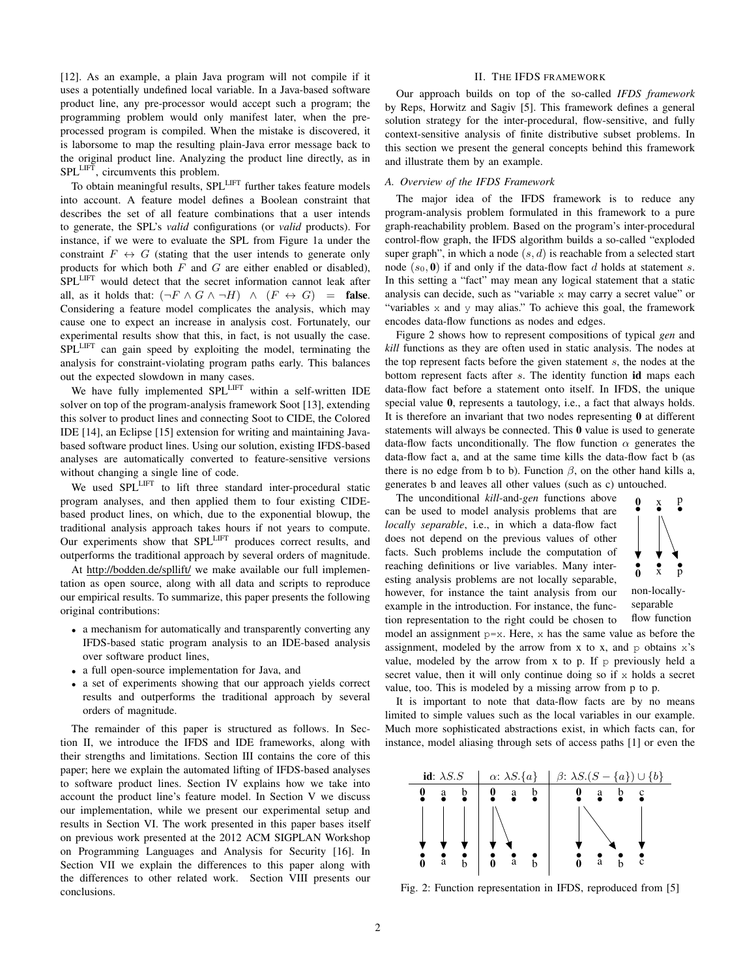[12]. As an example, a plain Java program will not compile if it uses a potentially undefined local variable. In a Java-based software product line, any pre-processor would accept such a program; the programming problem would only manifest later, when the preprocessed program is compiled. When the mistake is discovered, it is laborsome to map the resulting plain-Java error message back to the original product line. Analyzing the product line directly, as in SPLLIFT, circumvents this problem.

To obtain meaningful results, SPL<sup>LIFT</sup> further takes feature models into account. A feature model defines a Boolean constraint that describes the set of all feature combinations that a user intends to generate, the SPL's *valid* configurations (or *valid* products). For instance, if we were to evaluate the SPL from Figure 1a under the constraint  $F \leftrightarrow G$  (stating that the user intends to generate only products for which both *F* and *G* are either enabled or disabled), SPLLIFT would detect that the secret information cannot leak after all, as it holds that:  $(\neg F \land G \land \neg H) \land (F \leftrightarrow G) =$  false. Considering a feature model complicates the analysis, which may cause one to expect an increase in analysis cost. Fortunately, our experimental results show that this, in fact, is not usually the case. SPL<sup>LIFT</sup> can gain speed by exploiting the model, terminating the analysis for constraint-violating program paths early. This balances out the expected slowdown in many cases.

We have fully implemented SPL<sup>LIFT</sup> within a self-written IDE solver on top of the program-analysis framework Soot [13], extending this solver to product lines and connecting Soot to CIDE, the Colored IDE [14], an Eclipse [15] extension for writing and maintaining Javabased software product lines. Using our solution, existing IFDS-based analyses are automatically converted to feature-sensitive versions without changing a single line of code.

We used SPL<sup>LIFT</sup> to lift three standard inter-procedural static program analyses, and then applied them to four existing CIDEbased product lines, on which, due to the exponential blowup, the traditional analysis approach takes hours if not years to compute. Our experiments show that SPL<sup>LIFT</sup> produces correct results, and outperforms the traditional approach by several orders of magnitude.

At http://bodden.de/spllift/ we make available our full implementation as open source, along with all data and scripts to reproduce our empirical results. To summarize, this paper presents the following original contributions:

- *•* a mechanism for automatically and transparently converting any IFDS-based static program analysis to an IDE-based analysis over software product lines,
- *•* a full open-source implementation for Java, and
- *•* a set of experiments showing that our approach yields correct results and outperforms the traditional approach by several orders of magnitude.

The remainder of this paper is structured as follows. In Section II, we introduce the IFDS and IDE frameworks, along with their strengths and limitations. Section III contains the core of this paper; here we explain the automated lifting of IFDS-based analyses to software product lines. Section IV explains how we take into account the product line's feature model. In Section V we discuss our implementation, while we present our experimental setup and results in Section VI. The work presented in this paper bases itself on previous work presented at the 2012 ACM SIGPLAN Workshop on Programming Languages and Analysis for Security [16]. In Section VII we explain the differences to this paper along with the differences to other related work. Section VIII presents our conclusions.

#### II. THE IFDS FRAMEWORK

Our approach builds on top of the so-called *IFDS framework* by Reps, Horwitz and Sagiv [5]. This framework defines a general solution strategy for the inter-procedural, flow-sensitive, and fully context-sensitive analysis of finite distributive subset problems. In this section we present the general concepts behind this framework and illustrate them by an example.

#### *A. Overview of the IFDS Framework*

The major idea of the IFDS framework is to reduce any program-analysis problem formulated in this framework to a pure graph-reachability problem. Based on the program's inter-procedural control-flow graph, the IFDS algorithm builds a so-called "exploded super graph", in which a node  $(s, d)$  is reachable from a selected start node  $(s_0, 0)$  if and only if the data-flow fact *d* holds at statement *s*. In this setting a "fact" may mean any logical statement that a static analysis can decide, such as "variable x may carry a secret value" or "variables  $x$  and  $y$  may alias." To achieve this goal, the framework encodes data-flow functions as nodes and edges.

Figure 2 shows how to represent compositions of typical *gen* and *kill* functions as they are often used in static analysis. The nodes at the top represent facts before the given statement *s*, the nodes at the bottom represent facts after *s*. The identity function id maps each data-flow fact before a statement onto itself. In IFDS, the unique special value 0, represents a tautology, i.e., a fact that always holds. It is therefore an invariant that two nodes representing 0 at different statements will always be connected. This 0 value is used to generate data-flow facts unconditionally. The flow function  $\alpha$  generates the data-flow fact a, and at the same time kills the data-flow fact b (as there is no edge from b to b). Function  $\beta$ , on the other hand kills a, generates b and leaves all other values (such as c) untouched.

The unconditional *kill*-and-*gen* functions above can be used to model analysis problems that are *locally separable*, i.e., in which a data-flow fact does not depend on the previous values of other facts. Such problems include the computation of reaching definitions or live variables. Many interesting analysis problems are not locally separable, however, for instance the taint analysis from our example in the introduction. For instance, the function representation to the right could be chosen to



separable flow function

model an assignment  $p=x$ . Here, x has the same value as before the assignment, modeled by the arrow from x to x, and  $p$  obtains  $x$ 's value, modeled by the arrow from x to p. If  $\beta$  previously held a secret value, then it will only continue doing so if  $x$  holds a secret value, too. This is modeled by a missing arrow from p to p.

It is important to note that data-flow facts are by no means limited to simple values such as the local variables in our example. Much more sophisticated abstractions exist, in which facts can, for instance, model aliasing through sets of access paths [1] or even the



Fig. 2: Function representation in IFDS, reproduced from [5]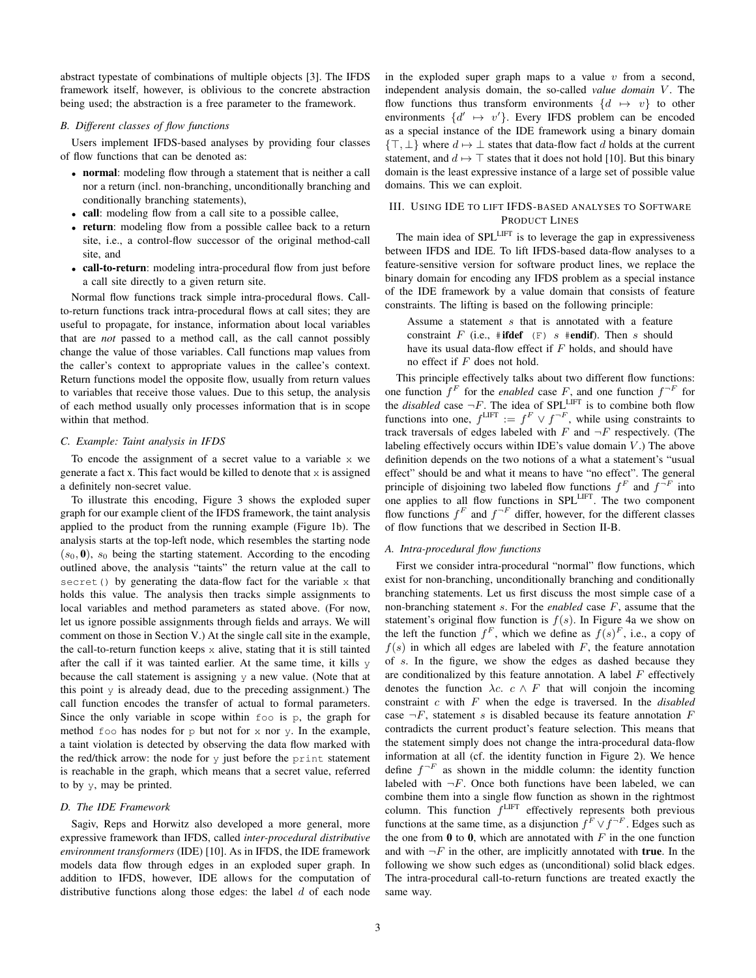abstract typestate of combinations of multiple objects [3]. The IFDS framework itself, however, is oblivious to the concrete abstraction being used; the abstraction is a free parameter to the framework.

#### *B. Different classes of flow functions*

Users implement IFDS-based analyses by providing four classes of flow functions that can be denoted as:

- **normal**: modeling flow through a statement that is neither a call nor a return (incl. non-branching, unconditionally branching and conditionally branching statements),
- *•* call: modeling flow from a call site to a possible callee,
- return: modeling flow from a possible callee back to a return site, i.e., a control-flow successor of the original method-call site, and
- call-to-return: modeling intra-procedural flow from just before a call site directly to a given return site.

Normal flow functions track simple intra-procedural flows. Callto-return functions track intra-procedural flows at call sites; they are useful to propagate, for instance, information about local variables that are *not* passed to a method call, as the call cannot possibly change the value of those variables. Call functions map values from the caller's context to appropriate values in the callee's context. Return functions model the opposite flow, usually from return values to variables that receive those values. Due to this setup, the analysis of each method usually only processes information that is in scope within that method.

#### *C. Example: Taint analysis in IFDS*

To encode the assignment of a secret value to a variable x we generate a fact x. This fact would be killed to denote that  $x$  is assigned a definitely non-secret value.

To illustrate this encoding, Figure 3 shows the exploded super graph for our example client of the IFDS framework, the taint analysis applied to the product from the running example (Figure 1b). The analysis starts at the top-left node, which resembles the starting node  $(s<sub>0</sub>, 0)$ ,  $s<sub>0</sub>$  being the starting statement. According to the encoding outlined above, the analysis "taints" the return value at the call to secret() by generating the data-flow fact for the variable  $x$  that holds this value. The analysis then tracks simple assignments to local variables and method parameters as stated above. (For now, let us ignore possible assignments through fields and arrays. We will comment on those in Section V.) At the single call site in the example, the call-to-return function keeps  $x$  alive, stating that it is still tainted after the call if it was tainted earlier. At the same time, it kills y because the call statement is assigning  $y$  a new value. (Note that at this point  $y$  is already dead, due to the preceding assignment.) The call function encodes the transfer of actual to formal parameters. Since the only variable in scope within foo is p, the graph for method  $f \circ \circ$  has nodes for p but not for x nor y. In the example, a taint violation is detected by observing the data flow marked with the red/thick arrow: the node for  $y$  just before the print statement is reachable in the graph, which means that a secret value, referred to by y, may be printed.

#### *D. The IDE Framework*

Sagiv, Reps and Horwitz also developed a more general, more expressive framework than IFDS, called *inter-procedural distributive environment transformers* (IDE) [10]. As in IFDS, the IDE framework models data flow through edges in an exploded super graph. In addition to IFDS, however, IDE allows for the computation of distributive functions along those edges: the label *d* of each node in the exploded super graph maps to a value *v* from a second, independent analysis domain, the so-called *value domain* V. The flow functions thus transform environments  $\{d \mapsto v\}$  to other environments  $\{d' \mapsto v'\}$ . Every IFDS problem can be encoded as a special instance of the IDE framework using a binary domain  ${T, \perp}$  where  $d \mapsto \perp$  states that data-flow fact *d* holds at the current statement, and  $d \mapsto \top$  states that it does not hold [10]. But this binary domain is the least expressive instance of a large set of possible value domains. This we can exploit.

# III. USING IDE TO LIFT IFDS-BASED ANALYSES TO SOFTWARE PRODUCT LINES

The main idea of SPLLIFT is to leverage the gap in expressiveness between IFDS and IDE. To lift IFDS-based data-flow analyses to a feature-sensitive version for software product lines, we replace the binary domain for encoding any IFDS problem as a special instance of the IDE framework by a value domain that consists of feature constraints. The lifting is based on the following principle:

Assume a statement *s* that is annotated with a feature constraint *F* (i.e., #ifdef (F) *s* #endif). Then *s* should have its usual data-flow effect if *F* holds, and should have no effect if *F* does not hold.

This principle effectively talks about two different flow functions: one function  $f^F$  for the *enabled* case *F*, and one function  $f^{-F}$  for the *disabled* case  $\neg F$ . The idea of SPL<sup>LIFT</sup> is to combine both flow functions into one,  $f^{\text{LIFT}} := f^F \vee f^{-F}$ , while using constraints to track traversals of edges labeled with *F* and *¬F* respectively. (The labeling effectively occurs within IDE's value domain *V* .) The above definition depends on the two notions of a what a statement's "usual effect" should be and what it means to have "no effect". The general principle of disjoining two labeled flow functions  $f^F$  and  $f^{-F}$  into one applies to all flow functions in SPLLIFT. The two component flow functions  $f^F$  and  $f^{-F}$  differ, however, for the different classes of flow functions that we described in Section II-B.

# *A. Intra-procedural flow functions*

First we consider intra-procedural "normal" flow functions, which exist for non-branching, unconditionally branching and conditionally branching statements. Let us first discuss the most simple case of a non-branching statement *s*. For the *enabled* case *F*, assume that the statement's original flow function is  $f(s)$ . In Figure 4a we show on the left the function  $f^F$ , which we define as  $f(s)^F$ , i.e., a copy of  $f(s)$  in which all edges are labeled with *F*, the feature annotation of *s*. In the figure, we show the edges as dashed because they are conditionalized by this feature annotation. A label *F* effectively denotes the function  $\lambda c$ .  $c \wedge F$  that will conjoin the incoming constraint *c* with *F* when the edge is traversed. In the *disabled* case  $\neg F$ , statement *s* is disabled because its feature annotation *F* contradicts the current product's feature selection. This means that the statement simply does not change the intra-procedural data-flow information at all (cf. the identity function in Figure 2). We hence define  $f^{-F}$  as shown in the middle column: the identity function labeled with  $\neg F$ . Once both functions have been labeled, we can combine them into a single flow function as shown in the rightmost column. This function  $f^{\text{LIFT}}$  effectively represents both previous functions at the same time, as a disjunction  $f^F \vee f^{-F}$ . Edges such as the one from  $\bf{0}$  to  $\bf{0}$ , which are annotated with *F* in the one function and with  $\neg F$  in the other, are implicitly annotated with **true**. In the following we show such edges as (unconditional) solid black edges. The intra-procedural call-to-return functions are treated exactly the same way.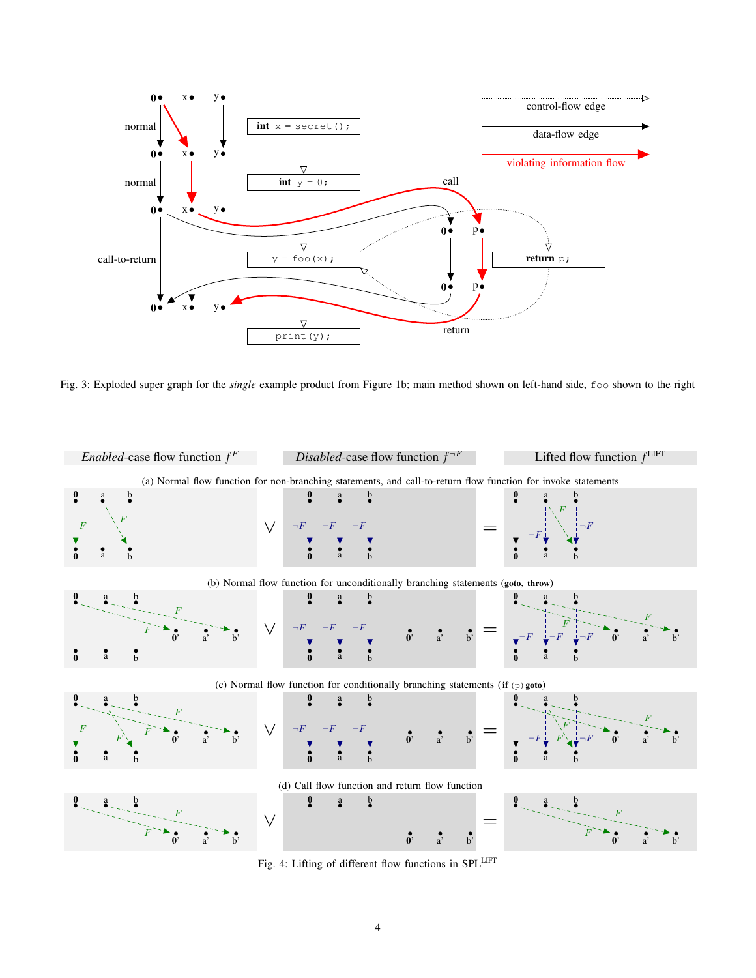

Fig. 3: Exploded super graph for the *single* example product from Figure 1b; main method shown on left-hand side, foo shown to the right



Fig. 4: Lifting of different flow functions in SPLLIFT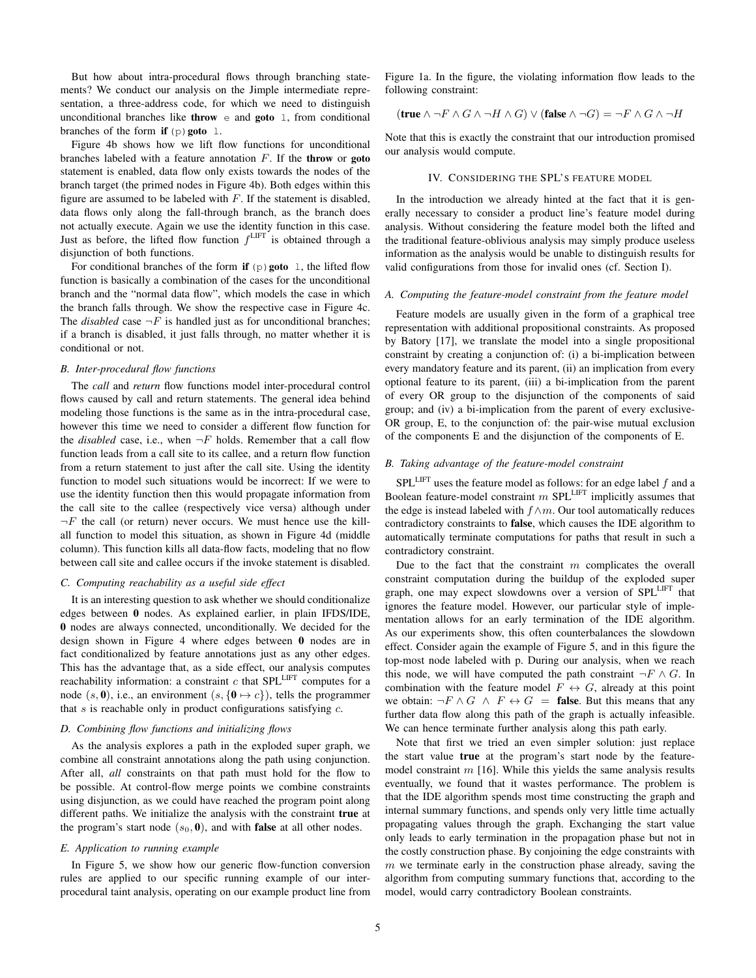But how about intra-procedural flows through branching statements? We conduct our analysis on the Jimple intermediate representation, a three-address code, for which we need to distinguish unconditional branches like **throw**  $\in$  and **goto** 1, from conditional branches of the form if  $(p)$  goto 1.

Figure 4b shows how we lift flow functions for unconditional branches labeled with a feature annotation *F*. If the throw or goto statement is enabled, data flow only exists towards the nodes of the branch target (the primed nodes in Figure 4b). Both edges within this figure are assumed to be labeled with *F*. If the statement is disabled, data flows only along the fall-through branch, as the branch does not actually execute. Again we use the identity function in this case. Just as before, the lifted flow function *f* LIFT is obtained through a disjunction of both functions.

For conditional branches of the form if  $(p)$  goto 1, the lifted flow function is basically a combination of the cases for the unconditional branch and the "normal data flow", which models the case in which the branch falls through. We show the respective case in Figure 4c. The *disabled* case  $\neg F$  is handled just as for unconditional branches; if a branch is disabled, it just falls through, no matter whether it is conditional or not.

### *B. Inter-procedural flow functions*

The *call* and *return* flow functions model inter-procedural control flows caused by call and return statements. The general idea behind modeling those functions is the same as in the intra-procedural case, however this time we need to consider a different flow function for the *disabled* case, i.e., when  $\neg F$  holds. Remember that a call flow function leads from a call site to its callee, and a return flow function from a return statement to just after the call site. Using the identity function to model such situations would be incorrect: If we were to use the identity function then this would propagate information from the call site to the callee (respectively vice versa) although under  $\neg F$  the call (or return) never occurs. We must hence use the killall function to model this situation, as shown in Figure 4d (middle column). This function kills all data-flow facts, modeling that no flow between call site and callee occurs if the invoke statement is disabled.

#### *C. Computing reachability as a useful side effect*

It is an interesting question to ask whether we should conditionalize edges between 0 nodes. As explained earlier, in plain IFDS/IDE, 0 nodes are always connected, unconditionally. We decided for the design shown in Figure 4 where edges between 0 nodes are in fact conditionalized by feature annotations just as any other edges. This has the advantage that, as a side effect, our analysis computes reachability information: a constraint  $c$  that SPL<sup>LIFT</sup> computes for a node  $(s, 0)$ , i.e., an environment  $(s, \{0 \mapsto c\})$ , tells the programmer that *s* is reachable only in product configurations satisfying *c*.

#### *D. Combining flow functions and initializing flows*

As the analysis explores a path in the exploded super graph, we combine all constraint annotations along the path using conjunction. After all, *all* constraints on that path must hold for the flow to be possible. At control-flow merge points we combine constraints using disjunction, as we could have reached the program point along different paths. We initialize the analysis with the constraint true at the program's start node  $(s_0, 0)$ , and with **false** at all other nodes.

#### *E. Application to running example*

In Figure 5, we show how our generic flow-function conversion rules are applied to our specific running example of our interprocedural taint analysis, operating on our example product line from Figure 1a. In the figure, the violating information flow leads to the following constraint:

$$
(\text{true} \land \neg F \land G \land \neg H \land G) \lor (\text{false} \land \neg G) = \neg F \land G \land \neg H
$$

Note that this is exactly the constraint that our introduction promised our analysis would compute.

### IV. CONSIDERING THE SPL'S FEATURE MODEL

In the introduction we already hinted at the fact that it is generally necessary to consider a product line's feature model during analysis. Without considering the feature model both the lifted and the traditional feature-oblivious analysis may simply produce useless information as the analysis would be unable to distinguish results for valid configurations from those for invalid ones (cf. Section I).

#### *A. Computing the feature-model constraint from the feature model*

Feature models are usually given in the form of a graphical tree representation with additional propositional constraints. As proposed by Batory [17], we translate the model into a single propositional constraint by creating a conjunction of: (i) a bi-implication between every mandatory feature and its parent, (ii) an implication from every optional feature to its parent, (iii) a bi-implication from the parent of every OR group to the disjunction of the components of said group; and (iv) a bi-implication from the parent of every exclusive-OR group, E, to the conjunction of: the pair-wise mutual exclusion of the components E and the disjunction of the components of E.

# *B. Taking advantage of the feature-model constraint*

SPLLIFT uses the feature model as follows: for an edge label *f* and a Boolean feature-model constraint *m* SPLLIFT implicitly assumes that the edge is instead labeled with  $f \wedge m$ . Our tool automatically reduces contradictory constraints to false, which causes the IDE algorithm to automatically terminate computations for paths that result in such a contradictory constraint.

Due to the fact that the constraint *m* complicates the overall constraint computation during the buildup of the exploded super graph, one may expect slowdowns over a version of SPLLIFT that ignores the feature model. However, our particular style of implementation allows for an early termination of the IDE algorithm. As our experiments show, this often counterbalances the slowdown effect. Consider again the example of Figure 5, and in this figure the top-most node labeled with p. During our analysis, when we reach this node, we will have computed the path constraint  $\neg F \wedge G$ . In combination with the feature model  $F \leftrightarrow G$ , already at this point we obtain:  $\neg F \wedge G \wedge F \leftrightarrow G =$  false. But this means that any further data flow along this path of the graph is actually infeasible. We can hence terminate further analysis along this path early.

Note that first we tried an even simpler solution: just replace the start value true at the program's start node by the featuremodel constraint *m* [16]. While this yields the same analysis results eventually, we found that it wastes performance. The problem is that the IDE algorithm spends most time constructing the graph and internal summary functions, and spends only very little time actually propagating values through the graph. Exchanging the start value only leads to early termination in the propagation phase but not in the costly construction phase. By conjoining the edge constraints with *m* we terminate early in the construction phase already, saving the algorithm from computing summary functions that, according to the model, would carry contradictory Boolean constraints.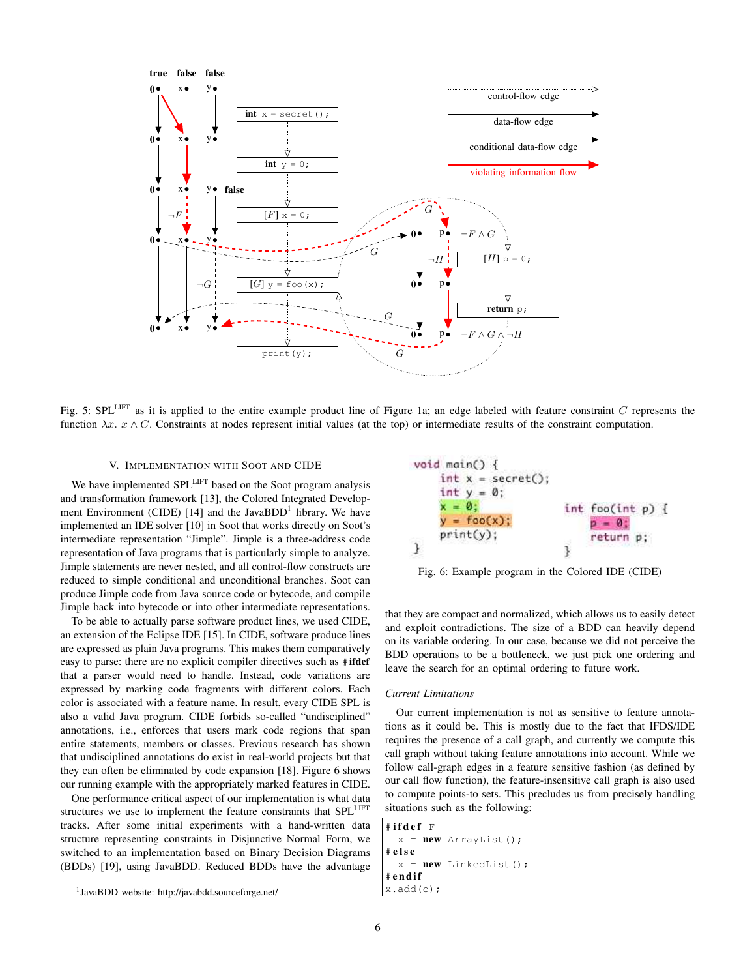

Fig. 5: SPLLIFT as it is applied to the entire example product line of Figure 1a; an edge labeled with feature constraint *C* represents the function  $\lambda x$ .  $x \wedge C$ . Constraints at nodes represent initial values (at the top) or intermediate results of the constraint computation.

# V. IMPLEMENTATION WITH SOOT AND CIDE

We have implemented SPL<sup>LIFT</sup> based on the Soot program analysis and transformation framework [13], the Colored Integrated Development Environment (CIDE) [14] and the JavaBDD<sup>1</sup> library. We have implemented an IDE solver [10] in Soot that works directly on Soot's intermediate representation "Jimple". Jimple is a three-address code representation of Java programs that is particularly simple to analyze. Jimple statements are never nested, and all control-flow constructs are reduced to simple conditional and unconditional branches. Soot can produce Jimple code from Java source code or bytecode, and compile Jimple back into bytecode or into other intermediate representations.

To be able to actually parse software product lines, we used CIDE, an extension of the Eclipse IDE [15]. In CIDE, software produce lines are expressed as plain Java programs. This makes them comparatively easy to parse: there are no explicit compiler directives such as #ifdef that a parser would need to handle. Instead, code variations are expressed by marking code fragments with different colors. Each color is associated with a feature name. In result, every CIDE SPL is also a valid Java program. CIDE forbids so-called "undisciplined" annotations, i.e., enforces that users mark code regions that span entire statements, members or classes. Previous research has shown that undisciplined annotations do exist in real-world projects but that they can often be eliminated by code expansion [18]. Figure 6 shows our running example with the appropriately marked features in CIDE.

One performance critical aspect of our implementation is what data structures we use to implement the feature constraints that SPL<sup>LIFT</sup> tracks. After some initial experiments with a hand-written data structure representing constraints in Disjunctive Normal Form, we switched to an implementation based on Binary Decision Diagrams (BDDs) [19], using JavaBDD. Reduced BDDs have the advantage



Fig. 6: Example program in the Colored IDE (CIDE)

that they are compact and normalized, which allows us to easily detect and exploit contradictions. The size of a BDD can heavily depend on its variable ordering. In our case, because we did not perceive the BDD operations to be a bottleneck, we just pick one ordering and leave the search for an optimal ordering to future work.

#### *Current Limitations*

Our current implementation is not as sensitive to feature annotations as it could be. This is mostly due to the fact that IFDS/IDE requires the presence of a call graph, and currently we compute this call graph without taking feature annotations into account. While we follow call-graph edges in a feature sensitive fashion (as defined by our call flow function), the feature-insensitive call graph is also used to compute points-to sets. This precludes us from precisely handling situations such as the following:

```
# ifdef F
 x = new ArrayList();
# else
  x = new LinkedList();
#endif
x.add(o);
```
<sup>1</sup>JavaBDD website: http://javabdd.sourceforge.net/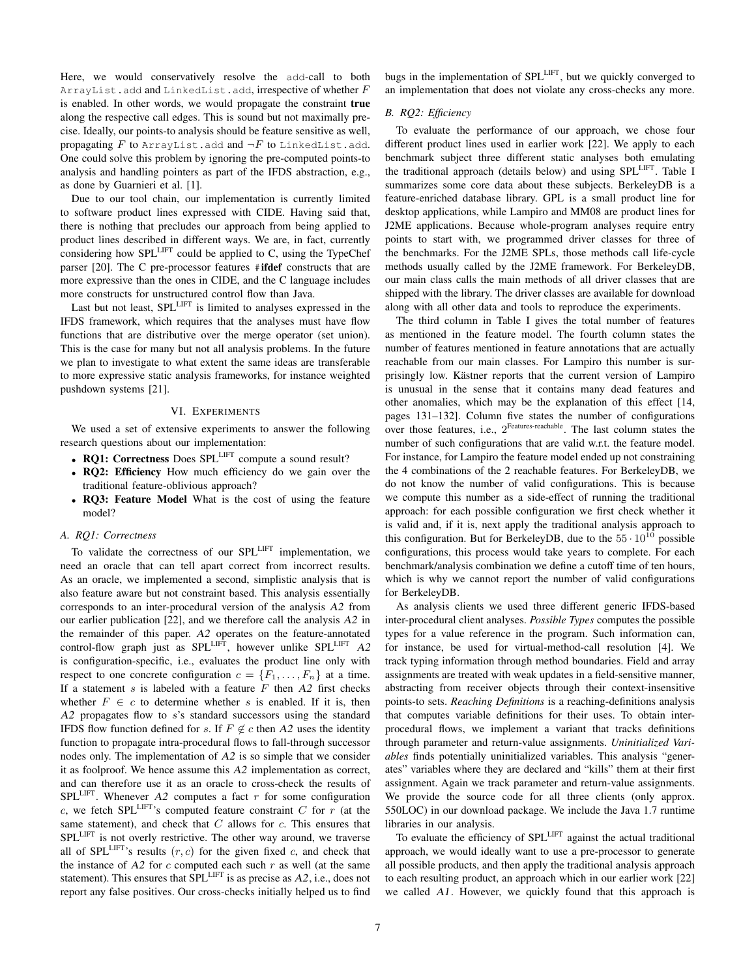Here, we would conservatively resolve the add-call to both ArrayList.add and LinkedList.add, irrespective of whether *F* is enabled. In other words, we would propagate the constraint true along the respective call edges. This is sound but not maximally precise. Ideally, our points-to analysis should be feature sensitive as well, propagating  $F$  to ArrayList.add and  $\neg F$  to LinkedList.add. One could solve this problem by ignoring the pre-computed points-to analysis and handling pointers as part of the IFDS abstraction, e.g., as done by Guarnieri et al. [1].

Due to our tool chain, our implementation is currently limited to software product lines expressed with CIDE. Having said that, there is nothing that precludes our approach from being applied to product lines described in different ways. We are, in fact, currently considering how SPLLIFT could be applied to C, using the TypeChef parser [20]. The C pre-processor features #ifdef constructs that are more expressive than the ones in CIDE, and the C language includes more constructs for unstructured control flow than Java.

Last but not least, SPL<sup>LIFT</sup> is limited to analyses expressed in the IFDS framework, which requires that the analyses must have flow functions that are distributive over the merge operator (set union). This is the case for many but not all analysis problems. In the future we plan to investigate to what extent the same ideas are transferable to more expressive static analysis frameworks, for instance weighted pushdown systems [21].

#### VI. EXPERIMENTS

We used a set of extensive experiments to answer the following research questions about our implementation:

- RQ1: Correctness Does SPL<sup>LIFT</sup> compute a sound result?
- RQ2: Efficiency How much efficiency do we gain over the traditional feature-oblivious approach?
- *•* RQ3: Feature Model What is the cost of using the feature model?

## *A. RQ1: Correctness*

To validate the correctness of our SPLLIFT implementation, we need an oracle that can tell apart correct from incorrect results. As an oracle, we implemented a second, simplistic analysis that is also feature aware but not constraint based. This analysis essentially corresponds to an inter-procedural version of the analysis *A2* from our earlier publication [22], and we therefore call the analysis *A2* in the remainder of this paper. *A2* operates on the feature-annotated control-flow graph just as SPL<sup>LIFT</sup>, however unlike SPL<sup>LIFT</sup> A2 is configuration-specific, i.e., evaluates the product line only with respect to one concrete configuration  $c = \{F_1, \ldots, F_n\}$  at a time. If a statement *s* is labeled with a feature *F* then *A2* first checks whether  $F \in c$  to determine whether *s* is enabled. If it is, then *A2* propagates flow to *s*'s standard successors using the standard IFDS flow function defined for *s*. If  $F \notin c$  then A2 uses the identity function to propagate intra-procedural flows to fall-through successor nodes only. The implementation of *A2* is so simple that we consider it as foolproof. We hence assume this *A2* implementation as correct, and can therefore use it as an oracle to cross-check the results of  $SPL$ <sup>LIFT</sup>. Whenever  $A2$  computes a fact  $r$  for some configuration  $c$ , we fetch SPL<sup>LIFT</sup>'s computed feature constraint  $C$  for  $r$  (at the same statement), and check that *C* allows for *c*. This ensures that SPL<sup>LIFT</sup> is not overly restrictive. The other way around, we traverse all of SPL<sup>LIFT</sup>'s results  $(r, c)$  for the given fixed  $c$ , and check that the instance of  $A2$  for  $c$  computed each such  $r$  as well (at the same statement). This ensures that SPLLIFT is as precise as *A2*, i.e., does not report any false positives. Our cross-checks initially helped us to find bugs in the implementation of SPLLIFT, but we quickly converged to an implementation that does not violate any cross-checks any more.

## *B. RQ2: Efficiency*

To evaluate the performance of our approach, we chose four different product lines used in earlier work [22]. We apply to each benchmark subject three different static analyses both emulating the traditional approach (details below) and using SPLLIFT. Table I summarizes some core data about these subjects. BerkeleyDB is a feature-enriched database library. GPL is a small product line for desktop applications, while Lampiro and MM08 are product lines for J2ME applications. Because whole-program analyses require entry points to start with, we programmed driver classes for three of the benchmarks. For the J2ME SPLs, those methods call life-cycle methods usually called by the J2ME framework. For BerkeleyDB, our main class calls the main methods of all driver classes that are shipped with the library. The driver classes are available for download along with all other data and tools to reproduce the experiments.

The third column in Table I gives the total number of features as mentioned in the feature model. The fourth column states the number of features mentioned in feature annotations that are actually reachable from our main classes. For Lampiro this number is surprisingly low. Kästner reports that the current version of Lampiro is unusual in the sense that it contains many dead features and other anomalies, which may be the explanation of this effect [14, pages 131–132]. Column five states the number of configurations over those features, i.e., 2Features-reachable. The last column states the number of such configurations that are valid w.r.t. the feature model. For instance, for Lampiro the feature model ended up not constraining the 4 combinations of the 2 reachable features. For BerkeleyDB, we do not know the number of valid configurations. This is because we compute this number as a side-effect of running the traditional approach: for each possible configuration we first check whether it is valid and, if it is, next apply the traditional analysis approach to this configuration. But for BerkeleyDB, due to the  $55 \cdot 10^{10}$  possible configurations, this process would take years to complete. For each benchmark/analysis combination we define a cutoff time of ten hours, which is why we cannot report the number of valid configurations for BerkeleyDB.

As analysis clients we used three different generic IFDS-based inter-procedural client analyses. *Possible Types* computes the possible types for a value reference in the program. Such information can, for instance, be used for virtual-method-call resolution [4]. We track typing information through method boundaries. Field and array assignments are treated with weak updates in a field-sensitive manner, abstracting from receiver objects through their context-insensitive points-to sets. *Reaching Definitions* is a reaching-definitions analysis that computes variable definitions for their uses. To obtain interprocedural flows, we implement a variant that tracks definitions through parameter and return-value assignments. *Uninitialized Variables* finds potentially uninitialized variables. This analysis "generates" variables where they are declared and "kills" them at their first assignment. Again we track parameter and return-value assignments. We provide the source code for all three clients (only approx. 550LOC) in our download package. We include the Java 1.7 runtime libraries in our analysis.

To evaluate the efficiency of SPL<sup>LIFT</sup> against the actual traditional approach, we would ideally want to use a pre-processor to generate all possible products, and then apply the traditional analysis approach to each resulting product, an approach which in our earlier work [22] we called *A1*. However, we quickly found that this approach is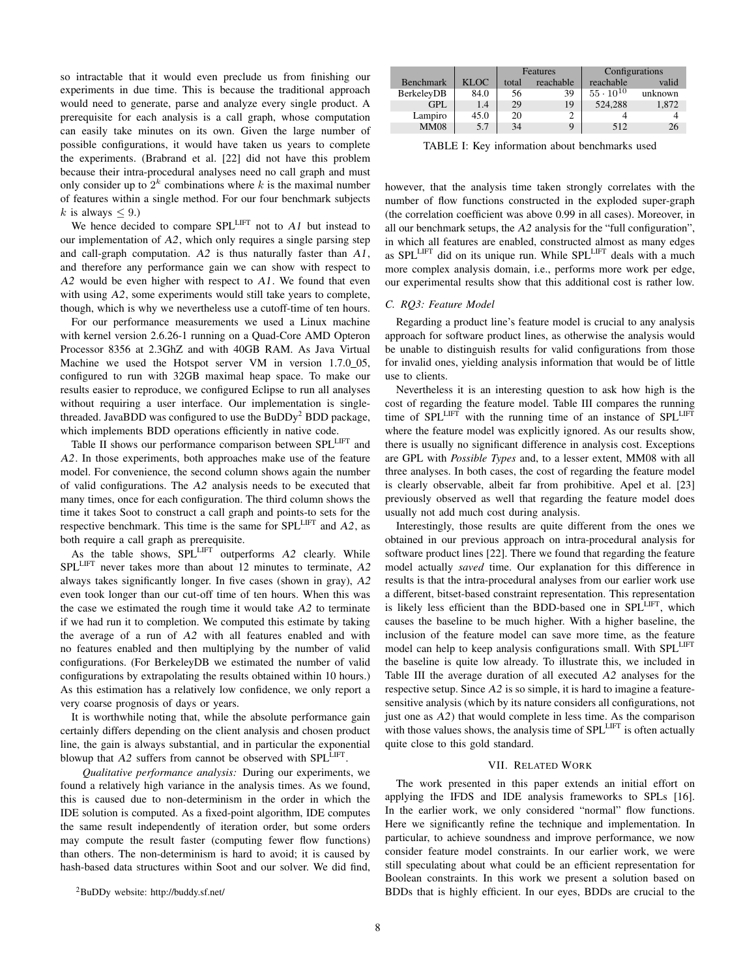so intractable that it would even preclude us from finishing our experiments in due time. This is because the traditional approach would need to generate, parse and analyze every single product. A prerequisite for each analysis is a call graph, whose computation can easily take minutes on its own. Given the large number of possible configurations, it would have taken us years to complete the experiments. (Brabrand et al. [22] did not have this problem because their intra-procedural analyses need no call graph and must only consider up to  $2^k$  combinations where  $k$  is the maximal number of features within a single method. For our four benchmark subjects *k* is always  $\leq 9$ .

We hence decided to compare SPL<sup>LIFT</sup> not to *A1* but instead to our implementation of *A2*, which only requires a single parsing step and call-graph computation. *A2* is thus naturally faster than *A1*, and therefore any performance gain we can show with respect to *A2* would be even higher with respect to *A1*. We found that even with using *A2*, some experiments would still take years to complete, though, which is why we nevertheless use a cutoff-time of ten hours.

For our performance measurements we used a Linux machine with kernel version 2.6.26-1 running on a Quad-Core AMD Opteron Processor 8356 at 2.3GhZ and with 40GB RAM. As Java Virtual Machine we used the Hotspot server VM in version 1.7.0 05, configured to run with 32GB maximal heap space. To make our results easier to reproduce, we configured Eclipse to run all analyses without requiring a user interface. Our implementation is singlethreaded. JavaBDD was configured to use the  $B\text{uDDy}^2$  BDD package, which implements BDD operations efficiently in native code.

Table II shows our performance comparison between SPL<sup>LIFT</sup> and *A2*. In those experiments, both approaches make use of the feature model. For convenience, the second column shows again the number of valid configurations. The *A2* analysis needs to be executed that many times, once for each configuration. The third column shows the time it takes Soot to construct a call graph and points-to sets for the respective benchmark. This time is the same for SPLLIFT and *A2*, as both require a call graph as prerequisite.

As the table shows, SPL<sup>LIFT</sup> outperforms *A2* clearly. While SPLLIFT never takes more than about 12 minutes to terminate, *A2* always takes significantly longer. In five cases (shown in gray), *A2* even took longer than our cut-off time of ten hours. When this was the case we estimated the rough time it would take *A2* to terminate if we had run it to completion. We computed this estimate by taking the average of a run of *A2* with all features enabled and with no features enabled and then multiplying by the number of valid configurations. (For BerkeleyDB we estimated the number of valid configurations by extrapolating the results obtained within 10 hours.) As this estimation has a relatively low confidence, we only report a very coarse prognosis of days or years.

It is worthwhile noting that, while the absolute performance gain certainly differs depending on the client analysis and chosen product line, the gain is always substantial, and in particular the exponential blowup that *A2* suffers from cannot be observed with SPL<sup>LIFT</sup>.

*Qualitative performance analysis:* During our experiments, we found a relatively high variance in the analysis times. As we found, this is caused due to non-determinism in the order in which the IDE solution is computed. As a fixed-point algorithm, IDE computes the same result independently of iteration order, but some orders may compute the result faster (computing fewer flow functions) than others. The non-determinism is hard to avoid; it is caused by hash-based data structures within Soot and our solver. We did find,

|                  |       | Features |           | Configurations     |         |
|------------------|-------|----------|-----------|--------------------|---------|
| <b>Benchmark</b> | KLOC. | total    | reachable | reachable          | valid   |
| BerkeleyDB       | 84.0  | 56       | 39        | $55 \cdot 10^{10}$ | unknown |
| GPL              | 1.4   | 29       | 19        | 524.288            | 1,872   |
| Lampiro          | 45.0  | 20       |           |                    |         |
| <b>MM08</b>      | 5.7   | 34       | q         | 512                | 26      |

TABLE I: Key information about benchmarks used

however, that the analysis time taken strongly correlates with the number of flow functions constructed in the exploded super-graph (the correlation coefficient was above 0.99 in all cases). Moreover, in all our benchmark setups, the *A2* analysis for the "full configuration", in which all features are enabled, constructed almost as many edges as SPL<sup>LIFT</sup> did on its unique run. While SPL<sup>LIFT</sup> deals with a much more complex analysis domain, i.e., performs more work per edge, our experimental results show that this additional cost is rather low.

#### *C. RQ3: Feature Model*

Regarding a product line's feature model is crucial to any analysis approach for software product lines, as otherwise the analysis would be unable to distinguish results for valid configurations from those for invalid ones, yielding analysis information that would be of little use to clients.

Nevertheless it is an interesting question to ask how high is the cost of regarding the feature model. Table III compares the running time of SPL<sup>LIFT</sup> with the running time of an instance of SPL<sup>LIFT</sup> where the feature model was explicitly ignored. As our results show, there is usually no significant difference in analysis cost. Exceptions are GPL with *Possible Types* and, to a lesser extent, MM08 with all three analyses. In both cases, the cost of regarding the feature model is clearly observable, albeit far from prohibitive. Apel et al. [23] previously observed as well that regarding the feature model does usually not add much cost during analysis.

Interestingly, those results are quite different from the ones we obtained in our previous approach on intra-procedural analysis for software product lines [22]. There we found that regarding the feature model actually *saved* time. Our explanation for this difference in results is that the intra-procedural analyses from our earlier work use a different, bitset-based constraint representation. This representation is likely less efficient than the BDD-based one in SPLLIFT, which causes the baseline to be much higher. With a higher baseline, the inclusion of the feature model can save more time, as the feature model can help to keep analysis configurations small. With SPL<sup>LIFT</sup> the baseline is quite low already. To illustrate this, we included in Table III the average duration of all executed *A2* analyses for the respective setup. Since *A2* is so simple, it is hard to imagine a featuresensitive analysis (which by its nature considers all configurations, not just one as *A2*) that would complete in less time. As the comparison with those values shows, the analysis time of  $SPL^{LIFT}$  is often actually quite close to this gold standard.

#### VII. RELATED WORK

The work presented in this paper extends an initial effort on applying the IFDS and IDE analysis frameworks to SPLs [16]. In the earlier work, we only considered "normal" flow functions. Here we significantly refine the technique and implementation. In particular, to achieve soundness and improve performance, we now consider feature model constraints. In our earlier work, we were still speculating about what could be an efficient representation for Boolean constraints. In this work we present a solution based on BDDs that is highly efficient. In our eyes, BDDs are crucial to the

<sup>2</sup>BuDDy website: http://buddy.sf.net/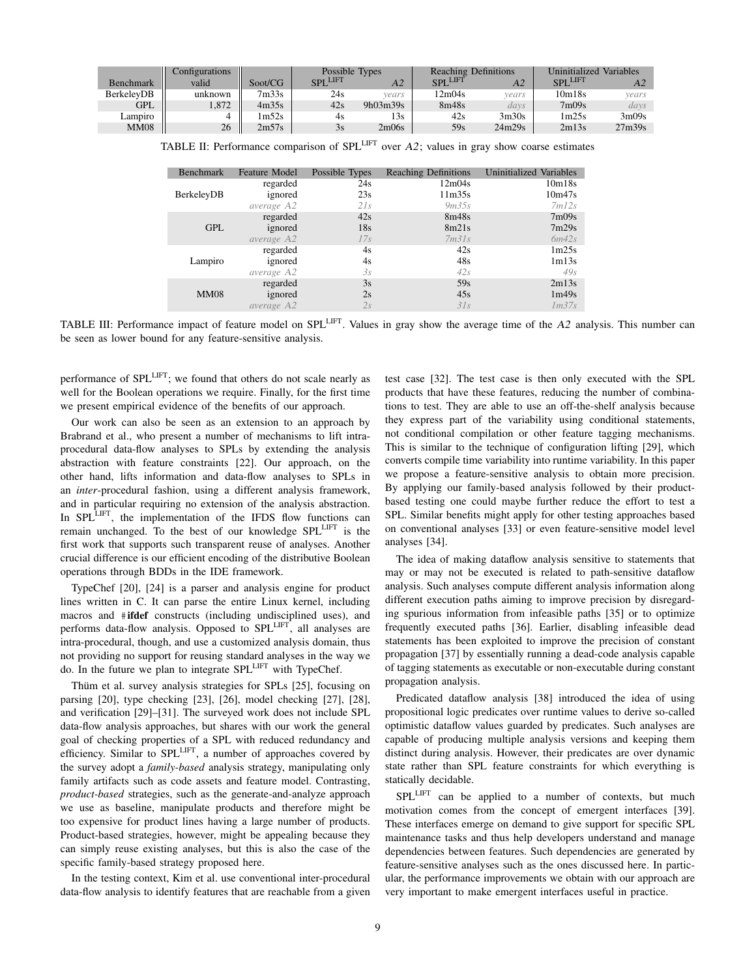|                   | Configurations |         | Possible Types  |             | <b>Reaching Definitions</b> |        | Uninitialized<br>Variables |        |
|-------------------|----------------|---------|-----------------|-------------|-----------------------------|--------|----------------------------|--------|
| Benchmark         | valid          | Soot/CG | <b>SPI LIFT</b> | A2          | <b>SPI LIFT</b>             | A2     | <b>SPLLIFT</b>             |        |
| <b>BerkelevDB</b> | unknown        | 7m33s   | 24s             | vears       | 12m04s                      | vears  | 10m18s                     | vears  |
| GPL               | 1,872          | 4m35s   | 42s             | $9h$ 03m39s | 8m48s                       | days   | 7m09s                      | days   |
| Lampiro           |                | 1m52s   | 4s              | 13s         | 42s                         | 3m30s  | 1m25s                      | 3m09s  |
| <b>MM08</b>       | 26             | 2m57s   | 3s              | 2m06s       | 59s                         | 24m29s | 2m13s                      | 27m39s |

TABLE II: Performance comparison of SPLLIFT over *A2*; values in gray show coarse estimates

| <b>Benchmark</b> | <b>Feature Model</b> | Possible Types | <b>Reaching Definitions</b> | <b>Uninitialized Variables</b> |
|------------------|----------------------|----------------|-----------------------------|--------------------------------|
|                  | regarded             | 24s            | 12m04s                      | 10m18s                         |
| BerkeleyDB       | ignored              | 23s            | 11 <sub>m35s</sub>          | 10m47s                         |
|                  | average A2           | 2Is            | 9m35s                       | 7m12s                          |
|                  | regarded             | 42s            | 8m48s                       | 7m09s                          |
| <b>GPL</b>       | ignored              | 18s            | 8m21s                       | 7m29s                          |
|                  | average A2           | 17s            | 7m31s                       | 6m42s                          |
| Lampiro          | regarded             | 4s             | 42s                         | 1m25s                          |
|                  | ignored              | 4s             | 48s                         | 1m13s                          |
|                  | average A2           | 3s             | 42s                         | 49s                            |
|                  | regarded             | 3s             | 59s                         | 2m13s                          |
| <b>MM08</b>      | ignored              | 2s             | 45s                         | 1m49s                          |
|                  | average A2           | 2s             | 31s                         | Im37s                          |

TABLE III: Performance impact of feature model on SPLLIFT. Values in gray show the average time of the *A2* analysis. This number can be seen as lower bound for any feature-sensitive analysis.

performance of SPLLIFT; we found that others do not scale nearly as well for the Boolean operations we require. Finally, for the first time we present empirical evidence of the benefits of our approach.

Our work can also be seen as an extension to an approach by Brabrand et al., who present a number of mechanisms to lift intraprocedural data-flow analyses to SPLs by extending the analysis abstraction with feature constraints [22]. Our approach, on the other hand, lifts information and data-flow analyses to SPLs in an *inter*-procedural fashion, using a different analysis framework, and in particular requiring no extension of the analysis abstraction. In SPL<sup>LIFT</sup>, the implementation of the IFDS flow functions can remain unchanged. To the best of our knowledge SPL<sup>LIFT</sup> is the first work that supports such transparent reuse of analyses. Another crucial difference is our efficient encoding of the distributive Boolean operations through BDDs in the IDE framework.

TypeChef [20], [24] is a parser and analysis engine for product lines written in C. It can parse the entire Linux kernel, including macros and #ifdef constructs (including undisciplined uses), and performs data-flow analysis. Opposed to SPLLIFT, all analyses are intra-procedural, though, and use a customized analysis domain, thus not providing no support for reusing standard analyses in the way we do. In the future we plan to integrate SPLLIFT with TypeChef.

Thum et al. survey analysis strategies for SPLs [25], focusing on parsing [20], type checking [23], [26], model checking [27], [28], and verification [29]–[31]. The surveyed work does not include SPL data-flow analysis approaches, but shares with our work the general goal of checking properties of a SPL with reduced redundancy and efficiency. Similar to SPLLIFT, a number of approaches covered by the survey adopt a *family-based* analysis strategy, manipulating only family artifacts such as code assets and feature model. Contrasting, *product-based* strategies, such as the generate-and-analyze approach we use as baseline, manipulate products and therefore might be too expensive for product lines having a large number of products. Product-based strategies, however, might be appealing because they can simply reuse existing analyses, but this is also the case of the specific family-based strategy proposed here.

In the testing context, Kim et al. use conventional inter-procedural data-flow analysis to identify features that are reachable from a given test case [32]. The test case is then only executed with the SPL products that have these features, reducing the number of combinations to test. They are able to use an off-the-shelf analysis because they express part of the variability using conditional statements, not conditional compilation or other feature tagging mechanisms. This is similar to the technique of configuration lifting [29], which converts compile time variability into runtime variability. In this paper we propose a feature-sensitive analysis to obtain more precision. By applying our family-based analysis followed by their productbased testing one could maybe further reduce the effort to test a SPL. Similar benefits might apply for other testing approaches based on conventional analyses [33] or even feature-sensitive model level analyses [34].

The idea of making dataflow analysis sensitive to statements that may or may not be executed is related to path-sensitive dataflow analysis. Such analyses compute different analysis information along different execution paths aiming to improve precision by disregarding spurious information from infeasible paths [35] or to optimize frequently executed paths [36]. Earlier, disabling infeasible dead statements has been exploited to improve the precision of constant propagation [37] by essentially running a dead-code analysis capable of tagging statements as executable or non-executable during constant propagation analysis.

Predicated dataflow analysis [38] introduced the idea of using propositional logic predicates over runtime values to derive so-called optimistic dataflow values guarded by predicates. Such analyses are capable of producing multiple analysis versions and keeping them distinct during analysis. However, their predicates are over dynamic state rather than SPL feature constraints for which everything is statically decidable.

SPLLIFT can be applied to a number of contexts, but much motivation comes from the concept of emergent interfaces [39]. These interfaces emerge on demand to give support for specific SPL maintenance tasks and thus help developers understand and manage dependencies between features. Such dependencies are generated by feature-sensitive analyses such as the ones discussed here. In particular, the performance improvements we obtain with our approach are very important to make emergent interfaces useful in practice.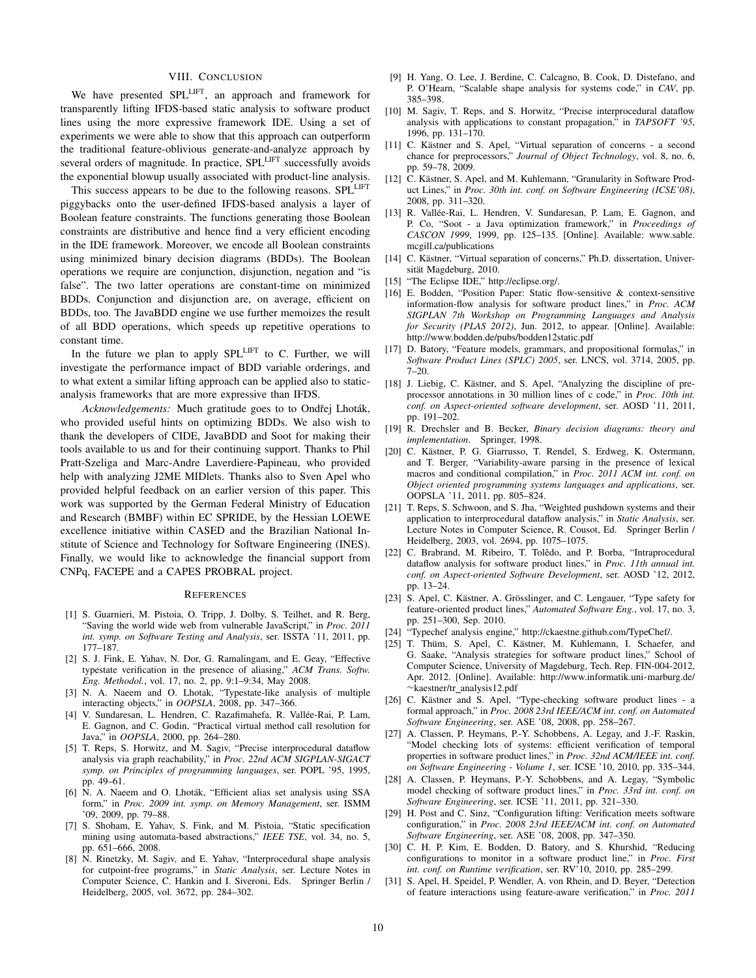#### VIII. CONCLUSION

We have presented SPL<sup>LIFT</sup>, an approach and framework for transparently lifting IFDS-based static analysis to software product lines using the more expressive framework IDE. Using a set of experiments we were able to show that this approach can outperform the traditional feature-oblivious generate-and-analyze approach by several orders of magnitude. In practice, SPL<sup>LIFT</sup> successfully avoids the exponential blowup usually associated with product-line analysis.

This success appears to be due to the following reasons. SPLLIFT piggybacks onto the user-defined IFDS-based analysis a layer of Boolean feature constraints. The functions generating those Boolean constraints are distributive and hence find a very efficient encoding in the IDE framework. Moreover, we encode all Boolean constraints using minimized binary decision diagrams (BDDs). The Boolean operations we require are conjunction, disjunction, negation and "is false". The two latter operations are constant-time on minimized BDDs. Conjunction and disjunction are, on average, efficient on BDDs, too. The JavaBDD engine we use further memoizes the result of all BDD operations, which speeds up repetitive operations to constant time.

In the future we plan to apply SPL<sup>LIFT</sup> to C. Further, we will investigate the performance impact of BDD variable orderings, and to what extent a similar lifting approach can be applied also to staticanalysis frameworks that are more expressive than IFDS.

Acknowledgements: Much gratitude goes to to Ondřej Lhoták, who provided useful hints on optimizing BDDs. We also wish to thank the developers of CIDE, JavaBDD and Soot for making their tools available to us and for their continuing support. Thanks to Phil Pratt-Szeliga and Marc-Andre Laverdiere-Papineau, who provided help with analyzing J2ME MIDlets. Thanks also to Sven Apel who provided helpful feedback on an earlier version of this paper. This work was supported by the German Federal Ministry of Education and Research (BMBF) within EC SPRIDE, by the Hessian LOEWE excellence initiative within CASED and the Brazilian National Institute of Science and Technology for Software Engineering (INES). Finally, we would like to acknowledge the financial support from CNPq, FACEPE and a CAPES PROBRAL project.

#### **REFERENCES**

- [1] S. Guarnieri, M. Pistoia, O. Tripp, J. Dolby, S. Teilhet, and R. Berg, "Saving the world wide web from vulnerable JavaScript," in *Proc. 2011 int. symp. on Software Testing and Analysis*, ser. ISSTA '11, 2011, pp. 177–187.
- [2] S. J. Fink, E. Yahav, N. Dor, G. Ramalingam, and E. Geay, "Effective typestate verification in the presence of aliasing," *ACM Trans. Softw. Eng. Methodol.*, vol. 17, no. 2, pp. 9:1–9:34, May 2008.
- [3] N. A. Naeem and O. Lhotak, "Typestate-like analysis of multiple interacting objects," in *OOPSLA*, 2008, pp. 347–366.
- [4] V. Sundaresan, L. Hendren, C. Razafimahefa, R. Vallée-Rai, P. Lam, E. Gagnon, and C. Godin, "Practical virtual method call resolution for Java," in *OOPSLA*, 2000, pp. 264–280.
- [5] T. Reps, S. Horwitz, and M. Sagiv, "Precise interprocedural dataflow analysis via graph reachability," in *Proc. 22nd ACM SIGPLAN-SIGACT symp. on Principles of programming languages*, ser. POPL '95, 1995, pp. 49–61.
- [6] N. A. Naeem and O. Lhoták, "Efficient alias set analysis using SSA form," in *Proc. 2009 int. symp. on Memory Management*, ser. ISMM '09, 2009, pp. 79–88.
- [7] S. Shoham, E. Yahav, S. Fink, and M. Pistoia, "Static specification mining using automata-based abstractions," *IEEE TSE*, vol. 34, no. 5, pp. 651–666, 2008.
- [8] N. Rinetzky, M. Sagiv, and E. Yahav, "Interprocedural shape analysis for cutpoint-free programs," in *Static Analysis*, ser. Lecture Notes in Computer Science, C. Hankin and I. Siveroni, Eds. Springer Berlin / Heidelberg, 2005, vol. 3672, pp. 284–302.
- [9] H. Yang, O. Lee, J. Berdine, C. Calcagno, B. Cook, D. Distefano, and P. O'Hearn, "Scalable shape analysis for systems code," in *CAV*, pp. 385–398.
- [10] M. Sagiv, T. Reps, and S. Horwitz, "Precise interprocedural dataflow analysis with applications to constant propagation," in *TAPSOFT '95*, 1996, pp. 131–170.
- [11] C. Kästner and S. Apel, "Virtual separation of concerns a second chance for preprocessors," *Journal of Object Technology*, vol. 8, no. 6, pp. 59–78, 2009.
- [12] C. Kästner, S. Apel, and M. Kuhlemann, "Granularity in Software Product Lines," in *Proc. 30th int. conf. on Software Engineering (ICSE'08)*, 2008, pp. 311–320.
- [13] R. Vallée-Rai, L. Hendren, V. Sundaresan, P. Lam, E. Gagnon, and P. Co, "Soot - a Java optimization framework," in *Proceedings of CASCON 1999*, 1999, pp. 125–135. [Online]. Available: www.sable. mcgill.ca/publications
- [14] C. Kästner, "Virtual separation of concerns," Ph.D. dissertation, Universität Magdeburg, 2010.
- [15] "The Eclipse IDE," http://eclipse.org/.
- [16] E. Bodden, "Position Paper: Static flow-sensitive & context-sensitive information-flow analysis for software product lines," in *Proc. ACM SIGPLAN 7th Workshop on Programming Languages and Analysis for Security (PLAS 2012)*, Jun. 2012, to appear. [Online]. Available: http://www.bodden.de/pubs/bodden12static.pdf
- [17] D. Batory, "Feature models, grammars, and propositional formulas," in *Software Product Lines (SPLC) 2005*, ser. LNCS, vol. 3714, 2005, pp. 7–20.
- [18] J. Liebig, C. Kästner, and S. Apel, "Analyzing the discipline of preprocessor annotations in 30 million lines of c code," in *Proc. 10th int. conf. on Aspect-oriented software development*, ser. AOSD '11, 2011, pp. 191–202.
- [19] R. Drechsler and B. Becker, *Binary decision diagrams: theory and implementation*. Springer, 1998.
- [20] C. Kästner, P. G. Giarrusso, T. Rendel, S. Erdweg, K. Ostermann, and T. Berger, "Variability-aware parsing in the presence of lexical macros and conditional compilation," in *Proc. 2011 ACM int. conf. on Object oriented programming systems languages and applications*, ser. OOPSLA '11, 2011, pp. 805–824.
- [21] T. Reps, S. Schwoon, and S. Jha, "Weighted pushdown systems and their application to interprocedural dataflow analysis," in *Static Analysis*, ser. Lecture Notes in Computer Science, R. Cousot, Ed. Springer Berlin / Heidelberg, 2003, vol. 2694, pp. 1075–1075.
- [22] C. Brabrand, M. Ribeiro, T. Tolêdo, and P. Borba, "Intraprocedural dataflow analysis for software product lines," in *Proc. 11th annual int. conf. on Aspect-oriented Software Development*, ser. AOSD '12, 2012, pp. 13–24.
- [23] S. Apel, C. Kästner, A. Grösslinger, and C. Lengauer, "Type safety for feature-oriented product lines," *Automated Software Eng.*, vol. 17, no. 3, pp. 251–300, Sep. 2010.
- [24] "Typechef analysis engine," http://ckaestne.github.com/TypeChef/.
- [25] T. Thüm, S. Apel, C. Kästner, M. Kuhlemann, I. Schaefer, and G. Saake, "Analysis strategies for software product lines," School of Computer Science, University of Magdeburg, Tech. Rep. FIN-004-2012, Apr. 2012. [Online]. Available: http://www.informatik.uni-marburg.de/ ⇠kaestner/tr analysis12.pdf
- [26] C. Kästner and S. Apel, "Type-checking software product lines a formal approach," in *Proc. 2008 23rd IEEE/ACM int. conf. on Automated Software Engineering*, ser. ASE '08, 2008, pp. 258–267.
- [27] A. Classen, P. Heymans, P.-Y. Schobbens, A. Legay, and J.-F. Raskin, "Model checking lots of systems: efficient verification of temporal properties in software product lines," in *Proc. 32nd ACM/IEEE int. conf. on Software Engineering - Volume 1*, ser. ICSE '10, 2010, pp. 335–344.
- [28] A. Classen, P. Heymans, P.-Y. Schobbens, and A. Legay, "Symbolic model checking of software product lines," in *Proc. 33rd int. conf. on Software Engineering*, ser. ICSE '11, 2011, pp. 321–330.
- [29] H. Post and C. Sinz, "Configuration lifting: Verification meets software configuration," in *Proc. 2008 23rd IEEE/ACM int. conf. on Automated Software Engineering*, ser. ASE '08, 2008, pp. 347–350.
- [30] C. H. P. Kim, E. Bodden, D. Batory, and S. Khurshid, "Reducing configurations to monitor in a software product line," in *Proc. First int. conf. on Runtime verification*, ser. RV'10, 2010, pp. 285–299.
- [31] S. Apel, H. Speidel, P. Wendler, A. von Rhein, and D. Beyer, "Detection of feature interactions using feature-aware verification," in *Proc. 2011*